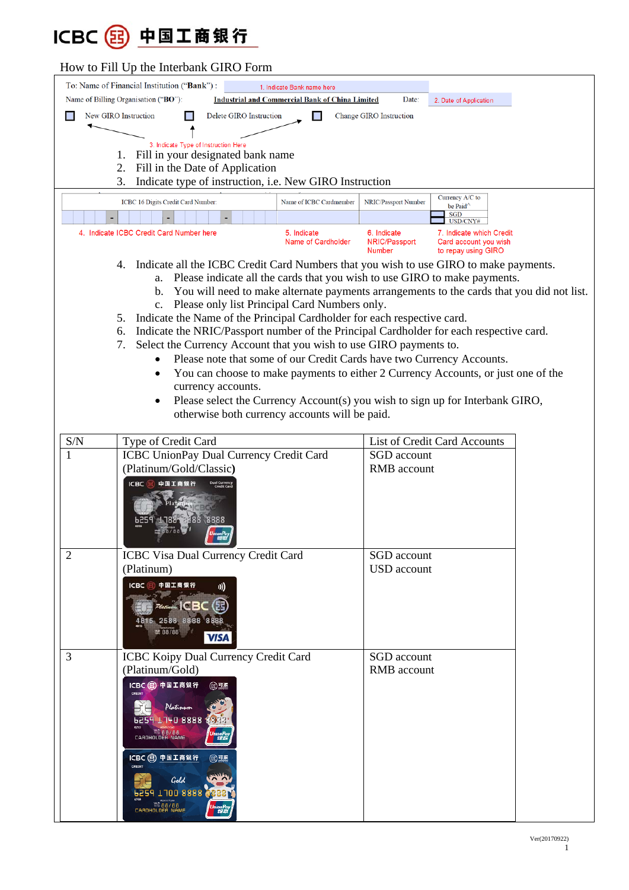## ICBC 3 中国工商银行

## How to Fill Up the Interbank GIRO Form

|                                                                                                                          | $P$ and interdual direction                                                                    |                                                                         |  |
|--------------------------------------------------------------------------------------------------------------------------|------------------------------------------------------------------------------------------------|-------------------------------------------------------------------------|--|
| To: Name of Financial Institution ("Bank") :<br>1. Indicate Bank name here                                               |                                                                                                |                                                                         |  |
|                                                                                                                          | Name of Billing Organisation ("BO"):<br><b>Industrial and Commercial Bank of China Limited</b> | Date:<br>2. Date of Application                                         |  |
| New GIRO Instruction<br>Delete GIRO Instruction<br><b>Change GIRO Instruction</b>                                        |                                                                                                |                                                                         |  |
|                                                                                                                          |                                                                                                |                                                                         |  |
| 3. Indicate Type of Instruction Here                                                                                     |                                                                                                |                                                                         |  |
| Fill in your designated bank name<br>1.                                                                                  |                                                                                                |                                                                         |  |
|                                                                                                                          | Fill in the Date of Application<br>2.                                                          |                                                                         |  |
| Indicate type of instruction, i.e. New GIRO Instruction<br>3.                                                            |                                                                                                |                                                                         |  |
|                                                                                                                          | ICBC 16 Digits Credit Card Number:<br>Name of ICBC Cardmember                                  | Currency A/C to<br>NRIC/Passport Number                                 |  |
|                                                                                                                          |                                                                                                | be Paid <sup>^</sup><br><b>SGD</b><br>USD/CNY#                          |  |
| 4. Indicate ICBC Credit Card Number here<br>5. Indicate<br>6. Indicate<br>7. Indicate which Credit<br>Name of Cardholder |                                                                                                |                                                                         |  |
|                                                                                                                          |                                                                                                | NRIC/Passport<br>Card account you wish<br>to repay using GIRO<br>Number |  |
| Indicate all the ICBC Credit Card Numbers that you wish to use GIRO to make payments.<br>4.                              |                                                                                                |                                                                         |  |
| a. Please indicate all the cards that you wish to use GIRO to make payments.                                             |                                                                                                |                                                                         |  |
| b. You will need to make alternate payments arrangements to the cards that you did not list.                             |                                                                                                |                                                                         |  |
| c. Please only list Principal Card Numbers only.                                                                         |                                                                                                |                                                                         |  |
| 5. Indicate the Name of the Principal Cardholder for each respective card.                                               |                                                                                                |                                                                         |  |
|                                                                                                                          | Indicate the NRIC/Passport number of the Principal Cardholder for each respective card.<br>6.  |                                                                         |  |
| Select the Currency Account that you wish to use GIRO payments to.<br>7.                                                 |                                                                                                |                                                                         |  |
| Please note that some of our Credit Cards have two Currency Accounts.                                                    |                                                                                                |                                                                         |  |
| You can choose to make payments to either 2 Currency Accounts, or just one of the<br>$\bullet$                           |                                                                                                |                                                                         |  |
| currency accounts.                                                                                                       |                                                                                                |                                                                         |  |
| Please select the Currency Account(s) you wish to sign up for Interbank GIRO,<br>$\bullet$                               |                                                                                                |                                                                         |  |
| otherwise both currency accounts will be paid.                                                                           |                                                                                                |                                                                         |  |
|                                                                                                                          |                                                                                                |                                                                         |  |
| S/N                                                                                                                      | Type of Credit Card                                                                            | List of Credit Card Accounts                                            |  |
|                                                                                                                          | ICBC UnionPay Dual Currency Credit Card                                                        | SGD account                                                             |  |
|                                                                                                                          | (Platinum/Gold/Classic)                                                                        | RMB account                                                             |  |
|                                                                                                                          | <b>ICBC</b>                                                                                    |                                                                         |  |
|                                                                                                                          |                                                                                                |                                                                         |  |
|                                                                                                                          |                                                                                                |                                                                         |  |
|                                                                                                                          |                                                                                                |                                                                         |  |
|                                                                                                                          |                                                                                                |                                                                         |  |
| $\overline{2}$                                                                                                           | ICBC Visa Dual Currency Credit Card                                                            | SGD account                                                             |  |
|                                                                                                                          | (Platinum)                                                                                     | <b>USD</b> account                                                      |  |
|                                                                                                                          | 中国工商银行<br>ICBC <sup>(</sup><br><b>)))</b>                                                      |                                                                         |  |
|                                                                                                                          |                                                                                                |                                                                         |  |
|                                                                                                                          | $P$ latinum $\mathsf{ICBC}$                                                                    |                                                                         |  |
|                                                                                                                          | 5 2588 8888 8888                                                                               |                                                                         |  |
|                                                                                                                          | <b>禁88/88</b><br><b>VISA</b>                                                                   |                                                                         |  |
| 3                                                                                                                        | ICBC Koipy Dual Currency Credit Card                                                           | SGD account                                                             |  |
|                                                                                                                          | (Platinum/Gold)                                                                                | RMB account                                                             |  |
|                                                                                                                          | ICBC 22 中国工商银行<br><b>② 型壓</b>                                                                  |                                                                         |  |
|                                                                                                                          |                                                                                                |                                                                         |  |
|                                                                                                                          | Ilatinum                                                                                       |                                                                         |  |
|                                                                                                                          | 1740 8888 8888                                                                                 |                                                                         |  |
|                                                                                                                          | EARDHOLDER NAME<br>印版                                                                          |                                                                         |  |
|                                                                                                                          |                                                                                                |                                                                         |  |
|                                                                                                                          | ICBC (3) 中国工商银行<br><b>③ 可服</b>                                                                 |                                                                         |  |
|                                                                                                                          | Gold                                                                                           |                                                                         |  |
|                                                                                                                          | 1100 8888                                                                                      |                                                                         |  |
|                                                                                                                          | CARDHOLDER NAME                                                                                |                                                                         |  |
|                                                                                                                          | 规                                                                                              |                                                                         |  |